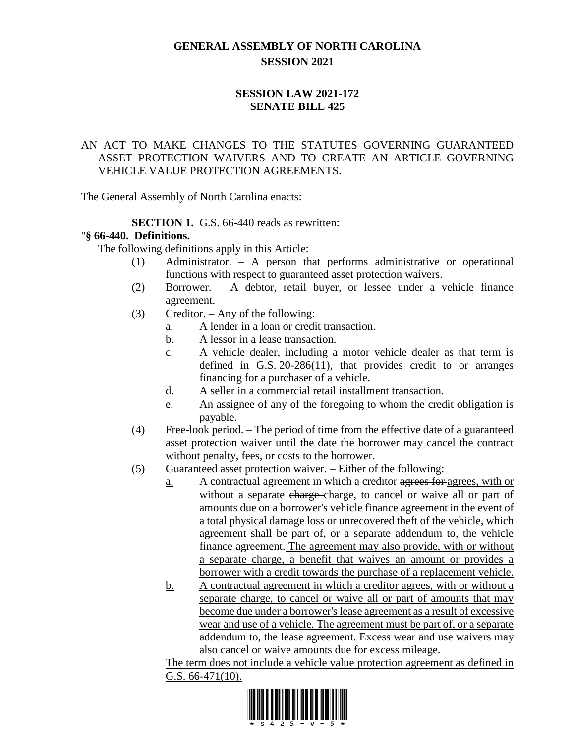# **GENERAL ASSEMBLY OF NORTH CAROLINA SESSION 2021**

# **SESSION LAW 2021-172 SENATE BILL 425**

## AN ACT TO MAKE CHANGES TO THE STATUTES GOVERNING GUARANTEED ASSET PROTECTION WAIVERS AND TO CREATE AN ARTICLE GOVERNING VEHICLE VALUE PROTECTION AGREEMENTS.

The General Assembly of North Carolina enacts:

# **SECTION 1.** G.S. 66-440 reads as rewritten:

## "**§ 66-440. Definitions.**

The following definitions apply in this Article:

- (1) Administrator. A person that performs administrative or operational functions with respect to guaranteed asset protection waivers.
- (2) Borrower. A debtor, retail buyer, or lessee under a vehicle finance agreement.
- (3) Creditor. Any of the following:
	- a. A lender in a loan or credit transaction.
	- b. A lessor in a lease transaction.
	- c. A vehicle dealer, including a motor vehicle dealer as that term is defined in G.S. 20-286(11), that provides credit to or arranges financing for a purchaser of a vehicle.
	- d. A seller in a commercial retail installment transaction.
	- e. An assignee of any of the foregoing to whom the credit obligation is payable.
- (4) Free-look period. The period of time from the effective date of a guaranteed asset protection waiver until the date the borrower may cancel the contract without penalty, fees, or costs to the borrower.
- (5) Guaranteed asset protection waiver. Either of the following:
	- a. A contractual agreement in which a creditor agrees for agrees, with or without a separate charge-charge, to cancel or waive all or part of amounts due on a borrower's vehicle finance agreement in the event of a total physical damage loss or unrecovered theft of the vehicle, which agreement shall be part of, or a separate addendum to, the vehicle finance agreement. The agreement may also provide, with or without a separate charge, a benefit that waives an amount or provides a borrower with a credit towards the purchase of a replacement vehicle.
	- b. A contractual agreement in which a creditor agrees, with or without a separate charge, to cancel or waive all or part of amounts that may become due under a borrower's lease agreement as a result of excessive wear and use of a vehicle. The agreement must be part of, or a separate addendum to, the lease agreement. Excess wear and use waivers may also cancel or waive amounts due for excess mileage.

The term does not include a vehicle value protection agreement as defined in G.S. 66-471(10).

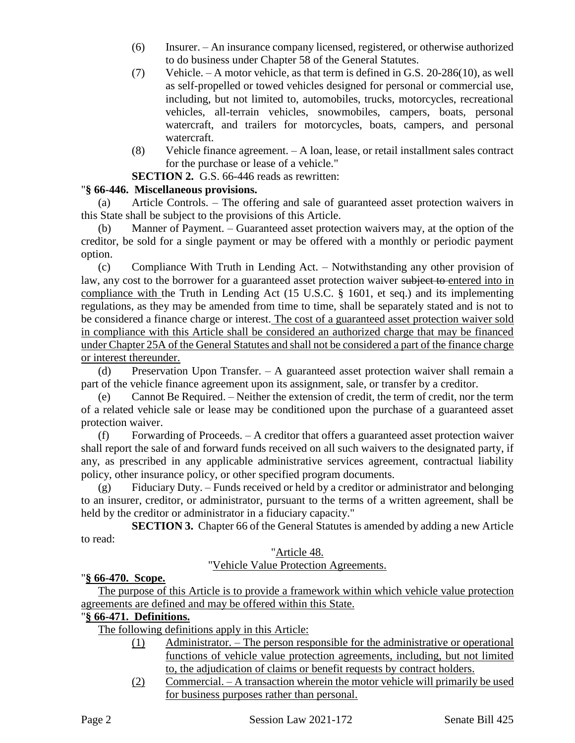- (6) Insurer. An insurance company licensed, registered, or otherwise authorized to do business under Chapter 58 of the General Statutes.
- (7) Vehicle. A motor vehicle, as that term is defined in G.S. 20-286(10), as well as self-propelled or towed vehicles designed for personal or commercial use, including, but not limited to, automobiles, trucks, motorcycles, recreational vehicles, all-terrain vehicles, snowmobiles, campers, boats, personal watercraft, and trailers for motorcycles, boats, campers, and personal watercraft.
- (8) Vehicle finance agreement. A loan, lease, or retail installment sales contract for the purchase or lease of a vehicle."

**SECTION 2.** G.S. 66-446 reads as rewritten:

## "**§ 66-446. Miscellaneous provisions.**

(a) Article Controls. – The offering and sale of guaranteed asset protection waivers in this State shall be subject to the provisions of this Article.

(b) Manner of Payment. – Guaranteed asset protection waivers may, at the option of the creditor, be sold for a single payment or may be offered with a monthly or periodic payment option.

(c) Compliance With Truth in Lending Act. – Notwithstanding any other provision of law, any cost to the borrower for a guaranteed asset protection waiver subject to entered into in compliance with the Truth in Lending Act (15 U.S.C. § 1601, et seq.) and its implementing regulations, as they may be amended from time to time, shall be separately stated and is not to be considered a finance charge or interest. The cost of a guaranteed asset protection waiver sold in compliance with this Article shall be considered an authorized charge that may be financed under Chapter 25A of the General Statutes and shall not be considered a part of the finance charge or interest thereunder.

(d) Preservation Upon Transfer. – A guaranteed asset protection waiver shall remain a part of the vehicle finance agreement upon its assignment, sale, or transfer by a creditor.

(e) Cannot Be Required. – Neither the extension of credit, the term of credit, nor the term of a related vehicle sale or lease may be conditioned upon the purchase of a guaranteed asset protection waiver.

(f) Forwarding of Proceeds. – A creditor that offers a guaranteed asset protection waiver shall report the sale of and forward funds received on all such waivers to the designated party, if any, as prescribed in any applicable administrative services agreement, contractual liability policy, other insurance policy, or other specified program documents.

(g) Fiduciary Duty. – Funds received or held by a creditor or administrator and belonging to an insurer, creditor, or administrator, pursuant to the terms of a written agreement, shall be held by the creditor or administrator in a fiduciary capacity."

**SECTION 3.** Chapter 66 of the General Statutes is amended by adding a new Article to read:

# "Article 48.

# "Vehicle Value Protection Agreements.

## "**§ 66-470. Scope.**

The purpose of this Article is to provide a framework within which vehicle value protection agreements are defined and may be offered within this State.

## "**§ 66-471. Definitions.**

The following definitions apply in this Article:

- (1) Administrator. The person responsible for the administrative or operational functions of vehicle value protection agreements, including, but not limited to, the adjudication of claims or benefit requests by contract holders.
- (2) Commercial. A transaction wherein the motor vehicle will primarily be used for business purposes rather than personal.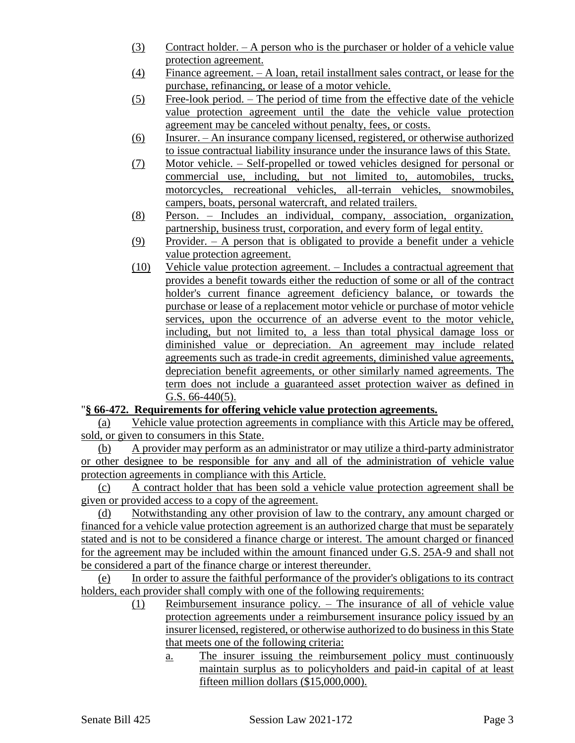- (3) Contract holder. A person who is the purchaser or holder of a vehicle value protection agreement.
- (4) Finance agreement. A loan, retail installment sales contract, or lease for the purchase, refinancing, or lease of a motor vehicle.
- (5) Free-look period. The period of time from the effective date of the vehicle value protection agreement until the date the vehicle value protection agreement may be canceled without penalty, fees, or costs.
- (6) Insurer. An insurance company licensed, registered, or otherwise authorized to issue contractual liability insurance under the insurance laws of this State.
- (7) Motor vehicle. Self-propelled or towed vehicles designed for personal or commercial use, including, but not limited to, automobiles, trucks, motorcycles, recreational vehicles, all-terrain vehicles, snowmobiles, campers, boats, personal watercraft, and related trailers.
- (8) Person. Includes an individual, company, association, organization, partnership, business trust, corporation, and every form of legal entity.
- (9) Provider. A person that is obligated to provide a benefit under a vehicle value protection agreement.
- (10) Vehicle value protection agreement. Includes a contractual agreement that provides a benefit towards either the reduction of some or all of the contract holder's current finance agreement deficiency balance, or towards the purchase or lease of a replacement motor vehicle or purchase of motor vehicle services, upon the occurrence of an adverse event to the motor vehicle, including, but not limited to, a less than total physical damage loss or diminished value or depreciation. An agreement may include related agreements such as trade-in credit agreements, diminished value agreements, depreciation benefit agreements, or other similarly named agreements. The term does not include a guaranteed asset protection waiver as defined in G.S. 66-440(5).

## "**§ 66-472. Requirements for offering vehicle value protection agreements.**

(a) Vehicle value protection agreements in compliance with this Article may be offered, sold, or given to consumers in this State.

(b) A provider may perform as an administrator or may utilize a third-party administrator or other designee to be responsible for any and all of the administration of vehicle value protection agreements in compliance with this Article.

A contract holder that has been sold a vehicle value protection agreement shall be given or provided access to a copy of the agreement.

(d) Notwithstanding any other provision of law to the contrary, any amount charged or financed for a vehicle value protection agreement is an authorized charge that must be separately stated and is not to be considered a finance charge or interest. The amount charged or financed for the agreement may be included within the amount financed under G.S. 25A-9 and shall not be considered a part of the finance charge or interest thereunder.

(e) In order to assure the faithful performance of the provider's obligations to its contract holders, each provider shall comply with one of the following requirements:

- (1) Reimbursement insurance policy. The insurance of all of vehicle value protection agreements under a reimbursement insurance policy issued by an insurer licensed, registered, or otherwise authorized to do business in this State that meets one of the following criteria:
	- a. The insurer issuing the reimbursement policy must continuously maintain surplus as to policyholders and paid-in capital of at least fifteen million dollars (\$15,000,000).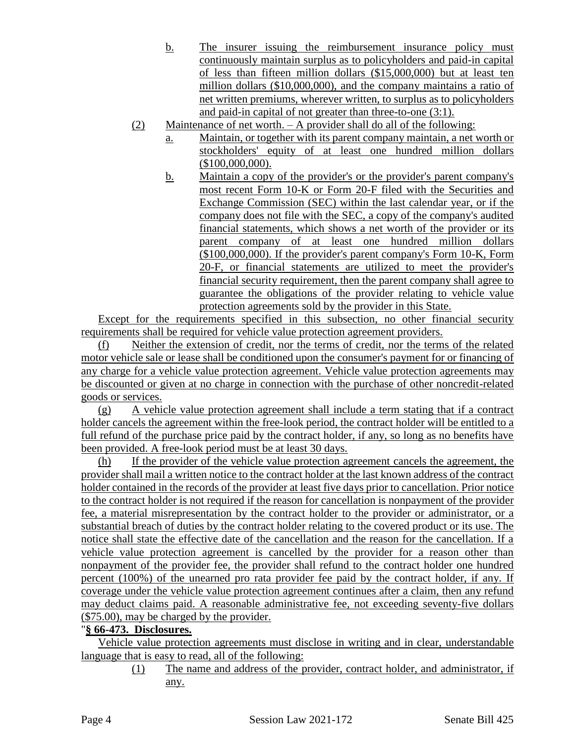- b. The insurer issuing the reimbursement insurance policy must continuously maintain surplus as to policyholders and paid-in capital of less than fifteen million dollars (\$15,000,000) but at least ten million dollars (\$10,000,000), and the company maintains a ratio of net written premiums, wherever written, to surplus as to policyholders and paid-in capital of not greater than three-to-one (3:1).
- (2) Maintenance of net worth. A provider shall do all of the following:
	- a. Maintain, or together with its parent company maintain, a net worth or stockholders' equity of at least one hundred million dollars (\$100,000,000).
	- b. Maintain a copy of the provider's or the provider's parent company's most recent Form 10-K or Form 20-F filed with the Securities and Exchange Commission (SEC) within the last calendar year, or if the company does not file with the SEC, a copy of the company's audited financial statements, which shows a net worth of the provider or its parent company of at least one hundred million dollars (\$100,000,000). If the provider's parent company's Form 10-K, Form 20-F, or financial statements are utilized to meet the provider's financial security requirement, then the parent company shall agree to guarantee the obligations of the provider relating to vehicle value protection agreements sold by the provider in this State.

Except for the requirements specified in this subsection, no other financial security requirements shall be required for vehicle value protection agreement providers.

(f) Neither the extension of credit, nor the terms of credit, nor the terms of the related motor vehicle sale or lease shall be conditioned upon the consumer's payment for or financing of any charge for a vehicle value protection agreement. Vehicle value protection agreements may be discounted or given at no charge in connection with the purchase of other noncredit-related goods or services.

(g) A vehicle value protection agreement shall include a term stating that if a contract holder cancels the agreement within the free-look period, the contract holder will be entitled to a full refund of the purchase price paid by the contract holder, if any, so long as no benefits have been provided. A free-look period must be at least 30 days.

(h) If the provider of the vehicle value protection agreement cancels the agreement, the provider shall mail a written notice to the contract holder at the last known address of the contract holder contained in the records of the provider at least five days prior to cancellation. Prior notice to the contract holder is not required if the reason for cancellation is nonpayment of the provider fee, a material misrepresentation by the contract holder to the provider or administrator, or a substantial breach of duties by the contract holder relating to the covered product or its use. The notice shall state the effective date of the cancellation and the reason for the cancellation. If a vehicle value protection agreement is cancelled by the provider for a reason other than nonpayment of the provider fee, the provider shall refund to the contract holder one hundred percent (100%) of the unearned pro rata provider fee paid by the contract holder, if any. If coverage under the vehicle value protection agreement continues after a claim, then any refund may deduct claims paid. A reasonable administrative fee, not exceeding seventy-five dollars (\$75.00), may be charged by the provider.

## "**§ 66-473. Disclosures.**

Vehicle value protection agreements must disclose in writing and in clear, understandable language that is easy to read, all of the following:

(1) The name and address of the provider, contract holder, and administrator, if any.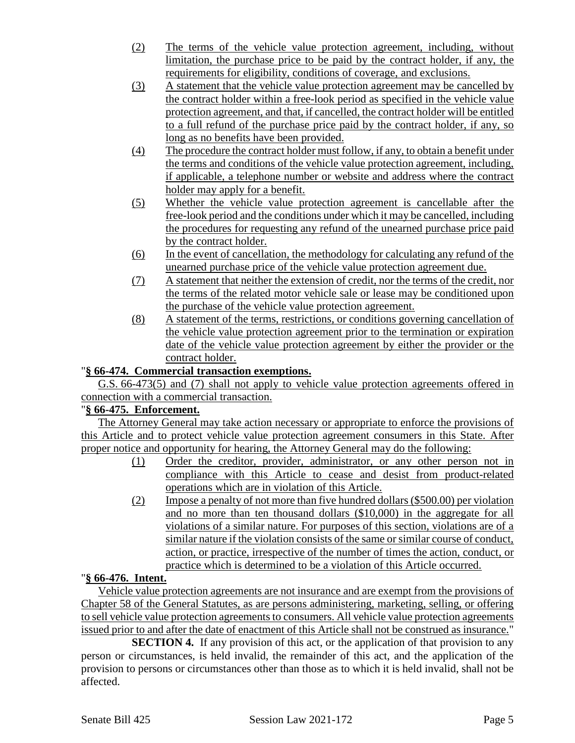- (2) The terms of the vehicle value protection agreement, including, without limitation, the purchase price to be paid by the contract holder, if any, the requirements for eligibility, conditions of coverage, and exclusions.
- (3) A statement that the vehicle value protection agreement may be cancelled by the contract holder within a free-look period as specified in the vehicle value protection agreement, and that, if cancelled, the contract holder will be entitled to a full refund of the purchase price paid by the contract holder, if any, so long as no benefits have been provided.
- (4) The procedure the contract holder must follow, if any, to obtain a benefit under the terms and conditions of the vehicle value protection agreement, including, if applicable, a telephone number or website and address where the contract holder may apply for a benefit.
- (5) Whether the vehicle value protection agreement is cancellable after the free-look period and the conditions under which it may be cancelled, including the procedures for requesting any refund of the unearned purchase price paid by the contract holder.
- (6) In the event of cancellation, the methodology for calculating any refund of the unearned purchase price of the vehicle value protection agreement due.
- (7) A statement that neither the extension of credit, nor the terms of the credit, nor the terms of the related motor vehicle sale or lease may be conditioned upon the purchase of the vehicle value protection agreement.
- (8) A statement of the terms, restrictions, or conditions governing cancellation of the vehicle value protection agreement prior to the termination or expiration date of the vehicle value protection agreement by either the provider or the contract holder.

# "**§ 66-474. Commercial transaction exemptions.**

G.S. 66-473(5) and (7) shall not apply to vehicle value protection agreements offered in connection with a commercial transaction.

## "**§ 66-475. Enforcement.**

The Attorney General may take action necessary or appropriate to enforce the provisions of this Article and to protect vehicle value protection agreement consumers in this State. After proper notice and opportunity for hearing, the Attorney General may do the following:

- (1) Order the creditor, provider, administrator, or any other person not in compliance with this Article to cease and desist from product-related operations which are in violation of this Article.
- (2) Impose a penalty of not more than five hundred dollars (\$500.00) per violation and no more than ten thousand dollars (\$10,000) in the aggregate for all violations of a similar nature. For purposes of this section, violations are of a similar nature if the violation consists of the same or similar course of conduct, action, or practice, irrespective of the number of times the action, conduct, or practice which is determined to be a violation of this Article occurred.

## "**§ 66-476. Intent.**

Vehicle value protection agreements are not insurance and are exempt from the provisions of Chapter 58 of the General Statutes, as are persons administering, marketing, selling, or offering to sell vehicle value protection agreements to consumers. All vehicle value protection agreements issued prior to and after the date of enactment of this Article shall not be construed as insurance."

**SECTION 4.** If any provision of this act, or the application of that provision to any person or circumstances, is held invalid, the remainder of this act, and the application of the provision to persons or circumstances other than those as to which it is held invalid, shall not be affected.